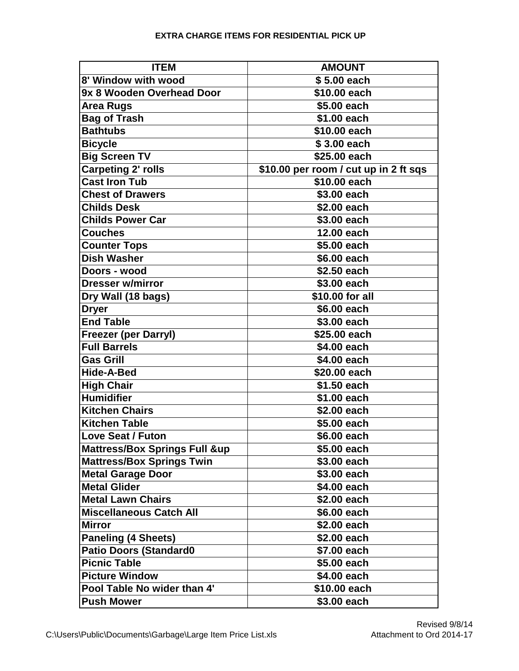## **EXTRA CHARGE ITEMS FOR RESIDENTIAL PICK UP**

| <b>ITEM</b>                              | <b>AMOUNT</b>                         |
|------------------------------------------|---------------------------------------|
| 8' Window with wood                      | \$5.00 each                           |
| 9x 8 Wooden Overhead Door                | \$10.00 each                          |
| <b>Area Rugs</b>                         | \$5.00 each                           |
| <b>Bag of Trash</b>                      | \$1.00 each                           |
| <b>Bathtubs</b>                          | \$10.00 each                          |
| <b>Bicycle</b>                           | \$3.00 each                           |
| <b>Big Screen TV</b>                     | \$25.00 each                          |
| <b>Carpeting 2' rolls</b>                | \$10.00 per room / cut up in 2 ft sqs |
| <b>Cast Iron Tub</b>                     | \$10.00 each                          |
| <b>Chest of Drawers</b>                  | \$3.00 each                           |
| <b>Childs Desk</b>                       | \$2.00 each                           |
| <b>Childs Power Car</b>                  | \$3.00 each                           |
| <b>Couches</b>                           | 12.00 each                            |
| <b>Counter Tops</b>                      | \$5.00 each                           |
| <b>Dish Washer</b>                       | \$6.00 each                           |
| Doors - wood                             | \$2.50 each                           |
| <b>Dresser w/mirror</b>                  | \$3.00 each                           |
| Dry Wall (18 bags)                       | \$10.00 for all                       |
| <b>Dryer</b>                             | \$6.00 each                           |
| <b>End Table</b>                         | \$3.00 each                           |
| <b>Freezer (per Darryl)</b>              | \$25.00 each                          |
| <b>Full Barrels</b>                      | \$4.00 each                           |
| <b>Gas Grill</b>                         | \$4.00 each                           |
| <b>Hide-A-Bed</b>                        | \$20.00 each                          |
| <b>High Chair</b>                        | \$1.50 each                           |
| <b>Humidifier</b>                        | \$1.00 each                           |
| <b>Kitchen Chairs</b>                    | \$2.00 each                           |
| <b>Kitchen Table</b>                     | \$5.00 each                           |
| Love Seat / Futon                        | \$6.00 each                           |
| <b>Mattress/Box Springs Full &amp;up</b> | \$5.00 each                           |
| <b>Mattress/Box Springs Twin</b>         | \$3.00 each                           |
| <b>Metal Garage Door</b>                 | \$3.00 each                           |
| <b>Metal Glider</b>                      | \$4.00 each                           |
| <b>Metal Lawn Chairs</b>                 | \$2.00 each                           |
| <b>Miscellaneous Catch All</b>           | \$6.00 each                           |
| <b>Mirror</b>                            | \$2.00 each                           |
| <b>Paneling (4 Sheets)</b>               | \$2.00 each                           |
| <b>Patio Doors (Standard0</b>            | \$7.00 each                           |
| <b>Picnic Table</b>                      | \$5.00 each                           |
| <b>Picture Window</b>                    | \$4.00 each                           |
| Pool Table No wider than 4'              | \$10.00 each                          |
| <b>Push Mower</b>                        | \$3.00 each                           |